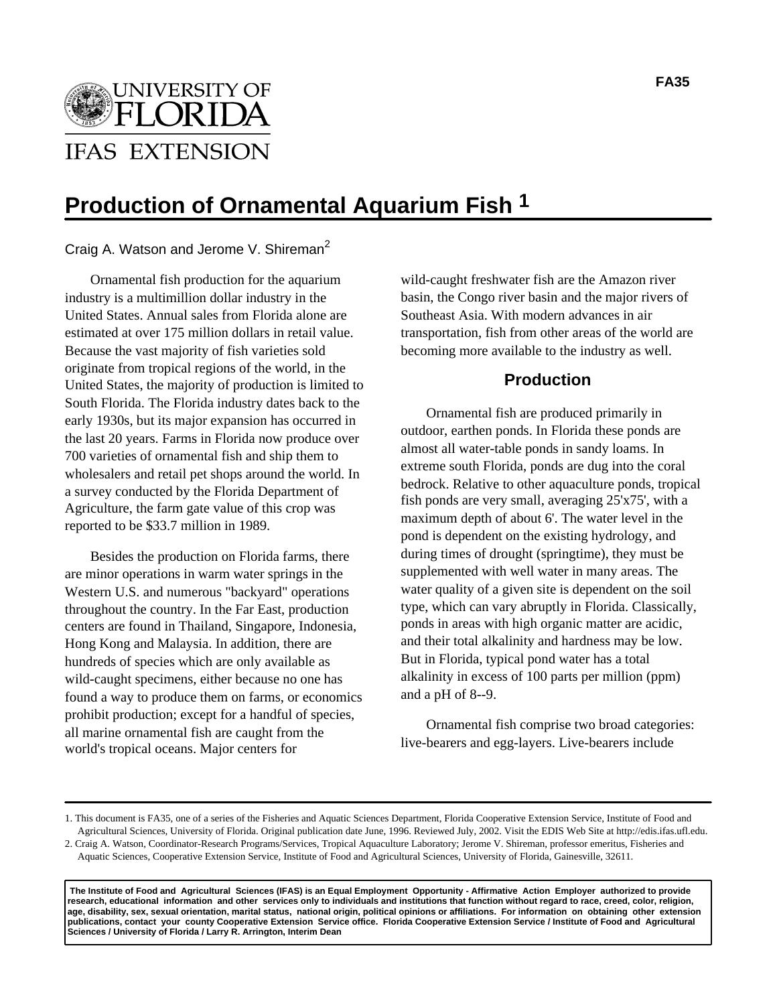$\bigcap$ **IFAS EXTENSION** 

# **Production of Ornamental Aquarium Fish 1**

Craig A. Watson and Jerome V. Shireman<sup>2</sup>

Ornamental fish production for the aquarium industry is a multimillion dollar industry in the United States. Annual sales from Florida alone are estimated at over 175 million dollars in retail value. Because the vast majority of fish varieties sold originate from tropical regions of the world, in the United States, the majority of production is limited to South Florida. The Florida industry dates back to the early 1930s, but its major expansion has occurred in the last 20 years. Farms in Florida now produce over 700 varieties of ornamental fish and ship them to wholesalers and retail pet shops around the world. In a survey conducted by the Florida Department of Agriculture, the farm gate value of this crop was reported to be \$33.7 million in 1989.

Besides the production on Florida farms, there are minor operations in warm water springs in the Western U.S. and numerous "backyard" operations throughout the country. In the Far East, production centers are found in Thailand, Singapore, Indonesia, Hong Kong and Malaysia. In addition, there are hundreds of species which are only available as wild-caught specimens, either because no one has found a way to produce them on farms, or economics prohibit production; except for a handful of species, all marine ornamental fish are caught from the world's tropical oceans. Major centers for

wild-caught freshwater fish are the Amazon river basin, the Congo river basin and the major rivers of Southeast Asia. With modern advances in air transportation, fish from other areas of the world are becoming more available to the industry as well.

## **Production**

Ornamental fish are produced primarily in outdoor, earthen ponds. In Florida these ponds are almost all water-table ponds in sandy loams. In extreme south Florida, ponds are dug into the coral bedrock. Relative to other aquaculture ponds, tropical fish ponds are very small, averaging 25'x75', with a maximum depth of about 6'. The water level in the pond is dependent on the existing hydrology, and during times of drought (springtime), they must be supplemented with well water in many areas. The water quality of a given site is dependent on the soil type, which can vary abruptly in Florida. Classically, ponds in areas with high organic matter are acidic, and their total alkalinity and hardness may be low. But in Florida, typical pond water has a total alkalinity in excess of 100 parts per million (ppm) and a pH of 8--9.

Ornamental fish comprise two broad categories: live-bearers and egg-layers. Live-bearers include

 **The Institute of Food and Agricultural Sciences (IFAS) is an Equal Employment Opportunity - Affirmative Action Employer authorized to provide research, educational information and other services only to individuals and institutions that function without regard to race, creed, color, religion, age, disability, sex, sexual orientation, marital status, national origin, political opinions or affiliations. For information on obtaining other extension publications, contact your county Cooperative Extension Service office. Florida Cooperative Extension Service / Institute of Food and Agricultural Sciences / University of Florida / Larry R. Arrington, Interim Dean**

<sup>1.</sup> This document is FA35, one of a series of the Fisheries and Aquatic Sciences Department, Florida Cooperative Extension Service, Institute of Food and Agricultural Sciences, University of Florida. Original publication date June, 1996. Reviewed July, 2002. Visit the EDIS Web Site at http://edis.ifas.ufl.edu. 2. Craig A. Watson, Coordinator-Research Programs/Services, Tropical Aquaculture Laboratory; Jerome V. Shireman, professor emeritus, Fisheries and

Aquatic Sciences, Cooperative Extension Service, Institute of Food and Agricultural Sciences, University of Florida, Gainesville, 32611.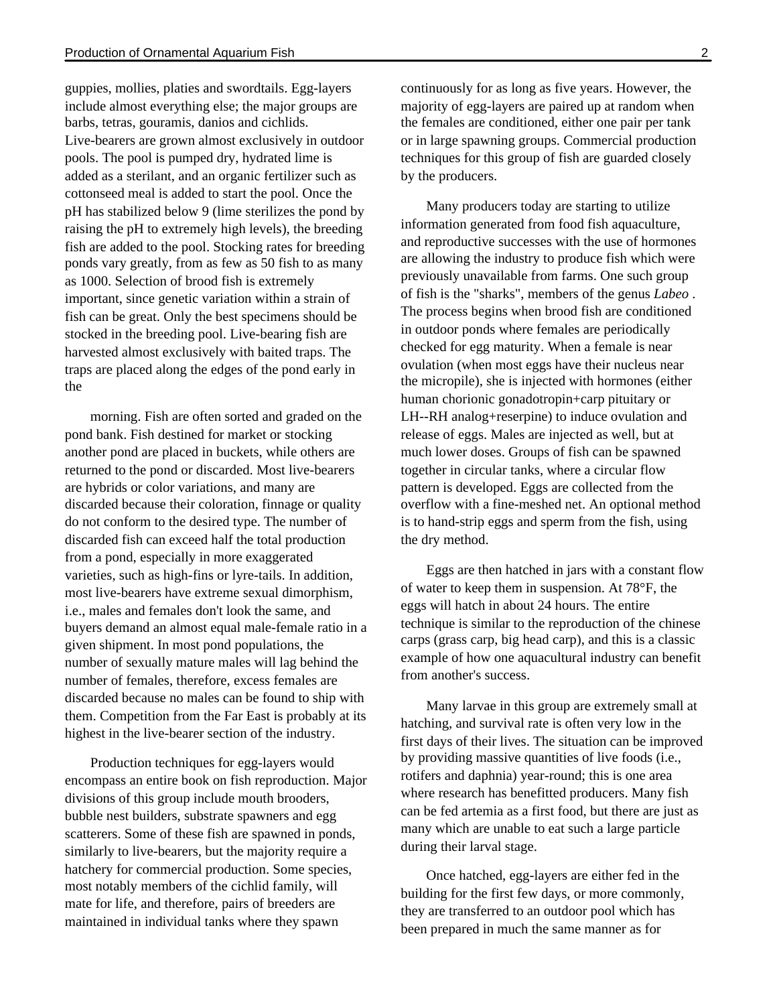guppies, mollies, platies and swordtails. Egg-layers include almost everything else; the major groups are barbs, tetras, gouramis, danios and cichlids. Live-bearers are grown almost exclusively in outdoor pools. The pool is pumped dry, hydrated lime is added as a sterilant, and an organic fertilizer such as cottonseed meal is added to start the pool. Once the pH has stabilized below 9 (lime sterilizes the pond by raising the pH to extremely high levels), the breeding fish are added to the pool. Stocking rates for breeding ponds vary greatly, from as few as 50 fish to as many as 1000. Selection of brood fish is extremely important, since genetic variation within a strain of fish can be great. Only the best specimens should be stocked in the breeding pool. Live-bearing fish are harvested almost exclusively with baited traps. The traps are placed along the edges of the pond early in the

morning. Fish are often sorted and graded on the pond bank. Fish destined for market or stocking another pond are placed in buckets, while others are returned to the pond or discarded. Most live-bearers are hybrids or color variations, and many are discarded because their coloration, finnage or quality do not conform to the desired type. The number of discarded fish can exceed half the total production from a pond, especially in more exaggerated varieties, such as high-fins or lyre-tails. In addition, most live-bearers have extreme sexual dimorphism, i.e., males and females don't look the same, and buyers demand an almost equal male-female ratio in a given shipment. In most pond populations, the number of sexually mature males will lag behind the number of females, therefore, excess females are discarded because no males can be found to ship with them. Competition from the Far East is probably at its highest in the live-bearer section of the industry.

Production techniques for egg-layers would encompass an entire book on fish reproduction. Major divisions of this group include mouth brooders, bubble nest builders, substrate spawners and egg scatterers. Some of these fish are spawned in ponds, similarly to live-bearers, but the majority require a hatchery for commercial production. Some species, most notably members of the cichlid family, will mate for life, and therefore, pairs of breeders are maintained in individual tanks where they spawn

continuously for as long as five years. However, the majority of egg-layers are paired up at random when the females are conditioned, either one pair per tank or in large spawning groups. Commercial production techniques for this group of fish are guarded closely by the producers.

Many producers today are starting to utilize information generated from food fish aquaculture, and reproductive successes with the use of hormones are allowing the industry to produce fish which were previously unavailable from farms. One such group of fish is the "sharks", members of the genus *Labeo* . The process begins when brood fish are conditioned in outdoor ponds where females are periodically checked for egg maturity. When a female is near ovulation (when most eggs have their nucleus near the micropile), she is injected with hormones (either human chorionic gonadotropin+carp pituitary or LH--RH analog+reserpine) to induce ovulation and release of eggs. Males are injected as well, but at much lower doses. Groups of fish can be spawned together in circular tanks, where a circular flow pattern is developed. Eggs are collected from the overflow with a fine-meshed net. An optional method is to hand-strip eggs and sperm from the fish, using the dry method.

Eggs are then hatched in jars with a constant flow of water to keep them in suspension. At 78°F, the eggs will hatch in about 24 hours. The entire technique is similar to the reproduction of the chinese carps (grass carp, big head carp), and this is a classic example of how one aquacultural industry can benefit from another's success.

Many larvae in this group are extremely small at hatching, and survival rate is often very low in the first days of their lives. The situation can be improved by providing massive quantities of live foods (i.e., rotifers and daphnia) year-round; this is one area where research has benefitted producers. Many fish can be fed artemia as a first food, but there are just as many which are unable to eat such a large particle during their larval stage.

Once hatched, egg-layers are either fed in the building for the first few days, or more commonly, they are transferred to an outdoor pool which has been prepared in much the same manner as for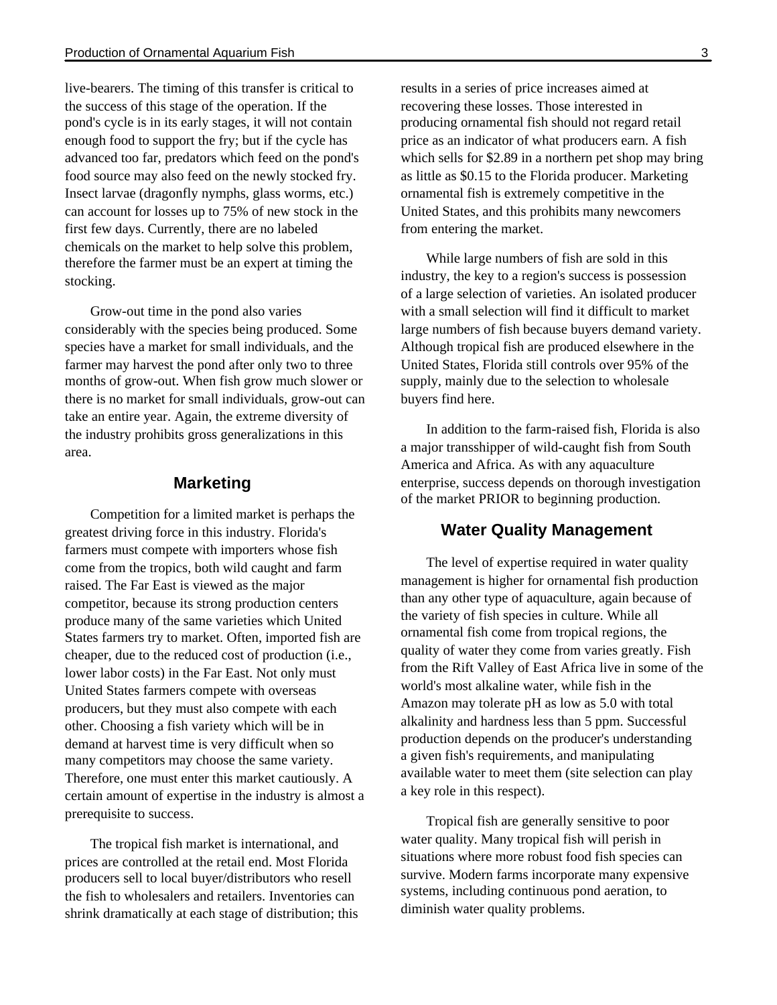live-bearers. The timing of this transfer is critical to the success of this stage of the operation. If the pond's cycle is in its early stages, it will not contain enough food to support the fry; but if the cycle has advanced too far, predators which feed on the pond's food source may also feed on the newly stocked fry. Insect larvae (dragonfly nymphs, glass worms, etc.) can account for losses up to 75% of new stock in the first few days. Currently, there are no labeled chemicals on the market to help solve this problem, therefore the farmer must be an expert at timing the stocking.

Grow-out time in the pond also varies considerably with the species being produced. Some species have a market for small individuals, and the farmer may harvest the pond after only two to three months of grow-out. When fish grow much slower or there is no market for small individuals, grow-out can take an entire year. Again, the extreme diversity of the industry prohibits gross generalizations in this area.

### **Marketing**

Competition for a limited market is perhaps the greatest driving force in this industry. Florida's farmers must compete with importers whose fish come from the tropics, both wild caught and farm raised. The Far East is viewed as the major competitor, because its strong production centers produce many of the same varieties which United States farmers try to market. Often, imported fish are cheaper, due to the reduced cost of production (i.e., lower labor costs) in the Far East. Not only must United States farmers compete with overseas producers, but they must also compete with each other. Choosing a fish variety which will be in demand at harvest time is very difficult when so many competitors may choose the same variety. Therefore, one must enter this market cautiously. A certain amount of expertise in the industry is almost a prerequisite to success.

The tropical fish market is international, and prices are controlled at the retail end. Most Florida producers sell to local buyer/distributors who resell the fish to wholesalers and retailers. Inventories can shrink dramatically at each stage of distribution; this results in a series of price increases aimed at recovering these losses. Those interested in producing ornamental fish should not regard retail price as an indicator of what producers earn. A fish which sells for \$2.89 in a northern pet shop may bring as little as \$0.15 to the Florida producer. Marketing ornamental fish is extremely competitive in the United States, and this prohibits many newcomers from entering the market.

While large numbers of fish are sold in this industry, the key to a region's success is possession of a large selection of varieties. An isolated producer with a small selection will find it difficult to market large numbers of fish because buyers demand variety. Although tropical fish are produced elsewhere in the United States, Florida still controls over 95% of the supply, mainly due to the selection to wholesale buyers find here.

In addition to the farm-raised fish, Florida is also a major transshipper of wild-caught fish from South America and Africa. As with any aquaculture enterprise, success depends on thorough investigation of the market PRIOR to beginning production.

### **Water Quality Management**

The level of expertise required in water quality management is higher for ornamental fish production than any other type of aquaculture, again because of the variety of fish species in culture. While all ornamental fish come from tropical regions, the quality of water they come from varies greatly. Fish from the Rift Valley of East Africa live in some of the world's most alkaline water, while fish in the Amazon may tolerate pH as low as 5.0 with total alkalinity and hardness less than 5 ppm. Successful production depends on the producer's understanding a given fish's requirements, and manipulating available water to meet them (site selection can play a key role in this respect).

Tropical fish are generally sensitive to poor water quality. Many tropical fish will perish in situations where more robust food fish species can survive. Modern farms incorporate many expensive systems, including continuous pond aeration, to diminish water quality problems.